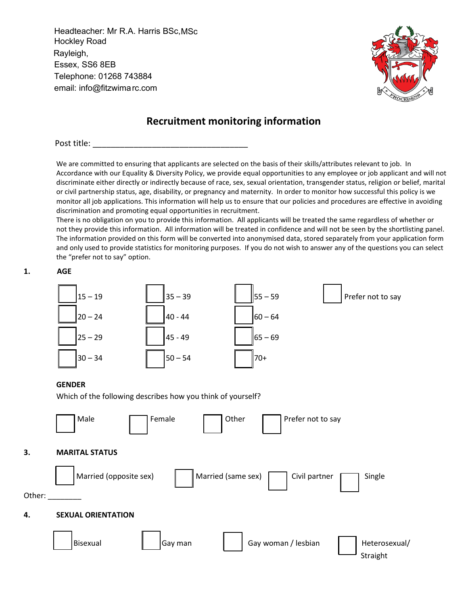Headteacher: Mr R.A. Harris BSc,MSc Hockley Road Rayleigh, Essex, SS6 8EB Telephone: 01268 743884 email: info@fitzwimarc.com



# **Recruitment monitoring information**

Post title:

We are committed to ensuring that applicants are selected on the basis of their skills/attributes relevant to job. In Accordance with our Equality & Diversity Policy, we provide equal opportunities to any employee or job applicant and will not discriminate either directly or indirectly because of race, sex, sexual orientation, transgender status, religion or belief, marital or civil partnership status, age, disability, or pregnancy and maternity. In order to monitor how successful this policy is we monitor all job applications. This information will help us to ensure that our policies and procedures are effective in avoiding discrimination and promoting equal opportunities in recruitment.

There is no obligation on you to provide this information. All applicants will be treated the same regardless of whether or not they provide this information. All information will be treated in confidence and will not be seen by the shortlisting panel. The information provided on this form will be converted into anonymised data, stored separately from your application form and only used to provide statistics for monitoring purposes. If you do not wish to answer any of the questions you can select the "prefer not to say" option.



#### **4. SEXUAL ORIENTATION**

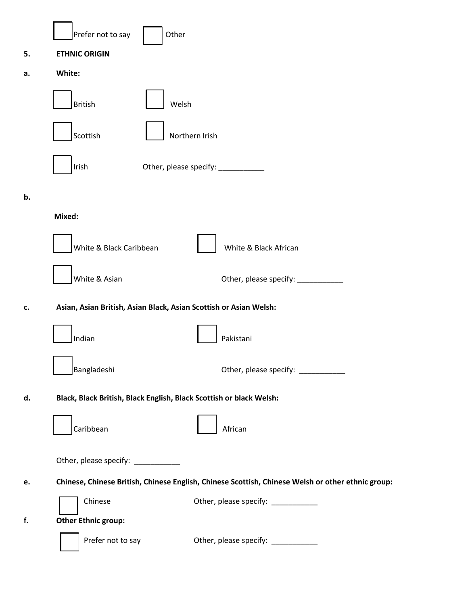|    | Other<br>Prefer not to say                                                                        |                                    |
|----|---------------------------------------------------------------------------------------------------|------------------------------------|
| 5. | <b>ETHNIC ORIGIN</b>                                                                              |                                    |
| a. | White:                                                                                            |                                    |
|    | <b>British</b><br>Welsh                                                                           |                                    |
|    | Scottish                                                                                          | Northern Irish                     |
|    | Irish                                                                                             | Other, please specify: ___________ |
| b. |                                                                                                   |                                    |
|    | Mixed:                                                                                            |                                    |
|    | White & Black Caribbean                                                                           | White & Black African              |
|    | White & Asian                                                                                     | Other, please specify: _______     |
| c. | Asian, Asian British, Asian Black, Asian Scottish or Asian Welsh:                                 |                                    |
|    | Indian                                                                                            | Pakistani                          |
|    | Bangladeshi                                                                                       | Other, please specify: _________   |
| d. | Black, Black British, Black English, Black Scottish or black Welsh:                               |                                    |
|    | Caribbean                                                                                         | African                            |
|    | Other, please specify: __________                                                                 |                                    |
| e. | Chinese, Chinese British, Chinese English, Chinese Scottish, Chinese Welsh or other ethnic group: |                                    |
|    | Chinese                                                                                           | Other, please specify: ___________ |
| f. | <b>Other Ethnic group:</b>                                                                        |                                    |
|    | Prefer not to say                                                                                 | Other, please specify: ___________ |